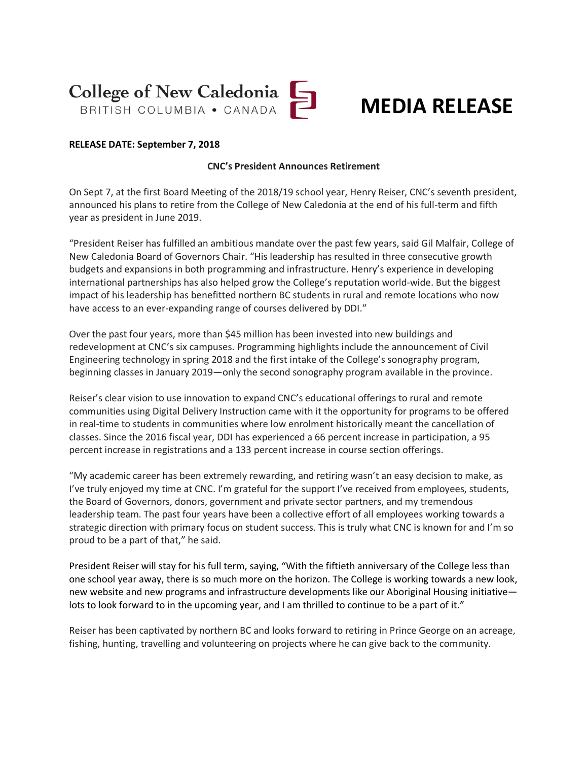## College of New Caledonia

### **MEDIA RELEASE**

#### **RELEASE DATE: September 7, 2018**

#### **CNC's President Announces Retirement**

On Sept 7, at the first Board Meeting of the 2018/19 school year, Henry Reiser, CNC's seventh president, announced his plans to retire from the College of New Caledonia at the end of his full-term and fifth year as president in June 2019.

"President Reiser has fulfilled an ambitious mandate over the past few years, said Gil Malfair, College of New Caledonia Board of Governors Chair. "His leadership has resulted in three consecutive growth budgets and expansions in both programming and infrastructure. Henry's experience in developing international partnerships has also helped grow the College's reputation world-wide. But the biggest impact of his leadership has benefitted northern BC students in rural and remote locations who now have access to an ever-expanding range of courses delivered by DDI."

Over the past four years, more than \$45 million has been invested into new buildings and redevelopment at CNC's six campuses. Programming highlights include the announcement of Civil Engineering technology in spring 2018 and the first intake of the College's sonography program, beginning classes in January 2019—only the second sonography program available in the province.

Reiser's clear vision to use innovation to expand CNC's educational offerings to rural and remote communities using Digital Delivery Instruction came with it the opportunity for programs to be offered in real-time to students in communities where low enrolment historically meant the cancellation of classes. Since the 2016 fiscal year, DDI has experienced a 66 percent increase in participation, a 95 percent increase in registrations and a 133 percent increase in course section offerings.

"My academic career has been extremely rewarding, and retiring wasn't an easy decision to make, as I've truly enjoyed my time at CNC. I'm grateful for the support I've received from employees, students, the Board of Governors, donors, government and private sector partners, and my tremendous leadership team. The past four years have been a collective effort of all employees working towards a strategic direction with primary focus on student success. This is truly what CNC is known for and I'm so proud to be a part of that," he said.

President Reiser will stay for his full term, saying, "With the fiftieth anniversary of the College less than one school year away, there is so much more on the horizon. The College is working towards a new look, new website and new programs and infrastructure developments like our Aboriginal Housing initiative lots to look forward to in the upcoming year, and I am thrilled to continue to be a part of it."

Reiser has been captivated by northern BC and looks forward to retiring in Prince George on an acreage, fishing, hunting, travelling and volunteering on projects where he can give back to the community.